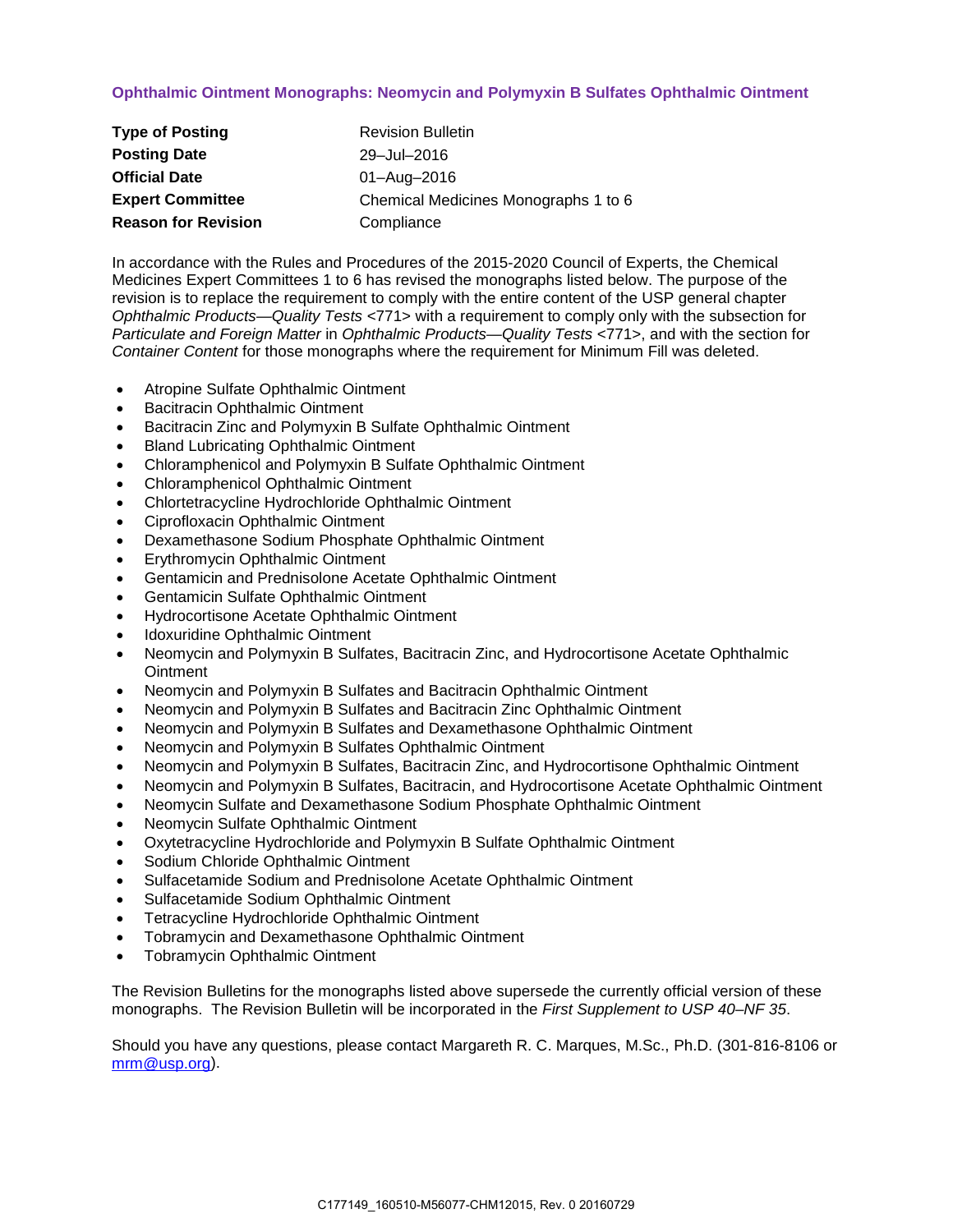# **Ophthalmic Ointment Monographs: Neomycin and Polymyxin B Sulfates Ophthalmic Ointment**

| <b>Type of Posting</b>     | <b>Revision Bulletin</b>             |
|----------------------------|--------------------------------------|
| <b>Posting Date</b>        | 29-Jul-2016                          |
| <b>Official Date</b>       | 01-Aug-2016                          |
| <b>Expert Committee</b>    | Chemical Medicines Monographs 1 to 6 |
| <b>Reason for Revision</b> | Compliance                           |

In accordance with the Rules and Procedures of the 2015-2020 Council of Experts, the Chemical Medicines Expert Committees 1 to 6 has revised the monographs listed below. The purpose of the revision is to replace the requirement to comply with the entire content of the USP general chapter *Ophthalmic Products—Quality Tests* <771> with a requirement to comply only with the subsection for *Particulate and Foreign Matter* in *Ophthalmic Products—Quality Tests* <771>, and with the section for *Container Content* for those monographs where the requirement for Minimum Fill was deleted.

- Atropine Sulfate Ophthalmic Ointment
- Bacitracin Ophthalmic Ointment
- Bacitracin Zinc and Polymyxin B Sulfate Ophthalmic Ointment
- Bland Lubricating Ophthalmic Ointment
- Chloramphenicol and Polymyxin B Sulfate Ophthalmic Ointment
- Chloramphenicol Ophthalmic Ointment
- Chlortetracycline Hydrochloride Ophthalmic Ointment
- Ciprofloxacin Ophthalmic Ointment
- Dexamethasone Sodium Phosphate Ophthalmic Ointment
- Erythromycin Ophthalmic Ointment
- Gentamicin and Prednisolone Acetate Ophthalmic Ointment
- Gentamicin Sulfate Ophthalmic Ointment
- Hydrocortisone Acetate Ophthalmic Ointment
- Idoxuridine Ophthalmic Ointment
- Neomycin and Polymyxin B Sulfates, Bacitracin Zinc, and Hydrocortisone Acetate Ophthalmic **Ointment**
- Neomycin and Polymyxin B Sulfates and Bacitracin Ophthalmic Ointment
- Neomycin and Polymyxin B Sulfates and Bacitracin Zinc Ophthalmic Ointment
- Neomycin and Polymyxin B Sulfates and Dexamethasone Ophthalmic Ointment
- Neomycin and Polymyxin B Sulfates Ophthalmic Ointment
- Neomycin and Polymyxin B Sulfates, Bacitracin Zinc, and Hydrocortisone Ophthalmic Ointment
- Neomycin and Polymyxin B Sulfates, Bacitracin, and Hydrocortisone Acetate Ophthalmic Ointment
- Neomycin Sulfate and Dexamethasone Sodium Phosphate Ophthalmic Ointment
- Neomycin Sulfate Ophthalmic Ointment
- Oxytetracycline Hydrochloride and Polymyxin B Sulfate Ophthalmic Ointment
- Sodium Chloride Ophthalmic Ointment
- Sulfacetamide Sodium and Prednisolone Acetate Ophthalmic Ointment
- Sulfacetamide Sodium Ophthalmic Ointment
- Tetracycline Hydrochloride Ophthalmic Ointment
- Tobramycin and Dexamethasone Ophthalmic Ointment
- Tobramycin Ophthalmic Ointment

The Revision Bulletins for the monographs listed above supersede the currently official version of these monographs. The Revision Bulletin will be incorporated in the *First Supplement to USP 40–NF 35*.

Should you have any questions, please contact Margareth R. C. Marques, M.Sc., Ph.D. (301-816-8106 or [mrm@usp.org\)](mailto:mrm@usp.org).